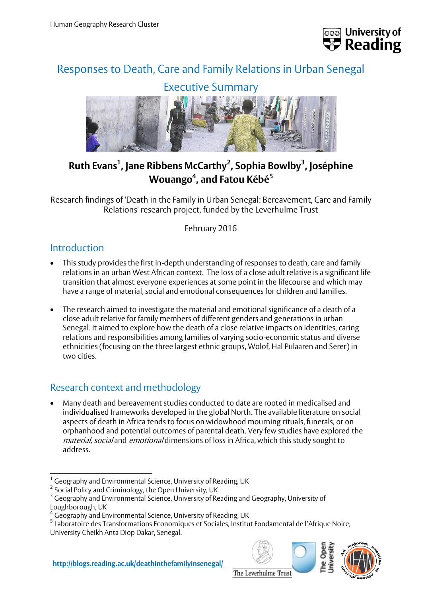

# Responses to Death, Care and Family Relations in Urban Senegal

# Executive Summary



# **Ruth Evans<sup>1</sup> , Jane Ribbens McCarthy<sup>2</sup> , Sophia Bowlby<sup>3</sup> , Joséphine Wouango<sup>4</sup> , and Fatou Kébé<sup>5</sup>**

Research findings of 'Death in the Family in Urban Senegal: Bereavement, Care and Family Relations' research project, funded by the Leverhulme Trust

February 2016

# Introduction

- This study provides the first in-depth understanding of responses to death, care and family relations in an urban West African context. The loss of a close adult relative is a significant life transition that almost everyone experiences at some point in the lifecourse and which may have a range of material, social and emotional consequences for children and families.
- The research aimed to investigate the material and emotional significance of a death of a close adult relative for family members of different genders and generations in urban Senegal. It aimed to explore how the death of a close relative impacts on identities, caring relations and responsibilities among families of varying socio-economic status and diverse ethnicities (focusing on the three largest ethnic groups, Wolof, Hal Pulaaren and Serer) in two cities.

# Research context and methodology

 Many death and bereavement studies conducted to date are rooted in medicalised and individualised frameworks developed in the global North. The available literature on social aspects of death in Africa tends to focus on widowhood mourning rituals, funerals, or on orphanhood and potential outcomes of parental death. Very few studies have explored the material, social and emotional dimensions of loss in Africa, which this study sought to address.

<sup>5</sup> Laboratoire des Transformations Economiques et Sociales, Institut Fondamental de l'Afrique Noire,



<sup>1</sup>  $^1$  Geography and Environmental Science, University of Reading, UK

<sup>&</sup>lt;sup>2</sup> Social Policy and Criminology, the Open University, UK

<sup>&</sup>lt;sup>3</sup> Geography and Environmental Science, University of Reading and Geography, University of Loughborough, UK

 $4$  Geography and Environmental Science, University of Reading, UK

University Cheikh Anta Diop Dakar, Senegal.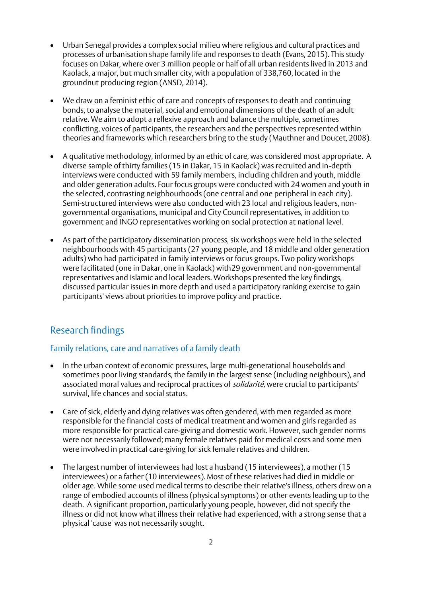- Urban Senegal provides a complex social milieu where religious and cultural practices and processes of urbanisation shape family life and responses to death (Evans, 2015). This study focuses on Dakar, where over 3 million people or half of all urban residents lived in 2013 and Kaolack, a major, but much smaller city, with a population of 338,760, located in the groundnut producing region (ANSD, 2014).
- We draw on a feminist ethic of care and concepts of responses to death and continuing bonds, to analyse the material, social and emotional dimensions of the death of an adult relative. We aim to adopt a reflexive approach and balance the multiple, sometimes conflicting, voices of participants, the researchers and the perspectives represented within theories and frameworks which researchers bring to the study (Mauthner and Doucet, 2008).
- A qualitative methodology, informed by an ethic of care, was considered most appropriate. A diverse sample of thirty families (15 in Dakar, 15 in Kaolack) was recruited and in-depth interviews were conducted with 59 family members, including children and youth, middle and older generation adults. Four focus groups were conducted with 24 women and youth in the selected, contrasting neighbourhoods (one central and one peripheral in each city). Semi-structured interviews were also conducted with 23 local and religious leaders, nongovernmental organisations, municipal and City Council representatives, in addition to government and INGO representatives working on social protection at national level.
- As part of the participatory dissemination process, six workshops were held in the selected neighbourhoods with 45 participants (27 young people, and 18 middle and older generation adults) who had participated in family interviews or focus groups. Two policy workshops were facilitated (one in Dakar, one in Kaolack) with29 government and non-governmental representatives and Islamic and local leaders. Workshops presented the key findings, discussed particular issues in more depth and used a participatory ranking exercise to gain participants' views about priorities to improve policy and practice.

## Research findings

### Family relations, care and narratives of a family death

- In the urban context of economic pressures, large multi-generational households and sometimes poor living standards, the family in the largest sense (including neighbours), and associated moral values and reciprocal practices of *solidarité*, were crucial to participants' survival, life chances and social status.
- Care of sick, elderly and dying relatives was often gendered, with men regarded as more responsible for the financial costs of medical treatment and women and girls regarded as more responsible for practical care-giving and domestic work. However, such gender norms were not necessarily followed; many female relatives paid for medical costs and some men were involved in practical care-giving for sick female relatives and children.
- The largest number of interviewees had lost a husband (15 interviewees), a mother (15 interviewees) or a father (10 interviewees). Most of these relatives had died in middle or older age. While some used medical terms to describe their relative's illness, others drew on a range of embodied accounts of illness (physical symptoms) or other events leading up to the death. A significant proportion, particularly young people, however, did not specify the illness or did not know what illness their relative had experienced, with a strong sense that a physical 'cause' was not necessarily sought.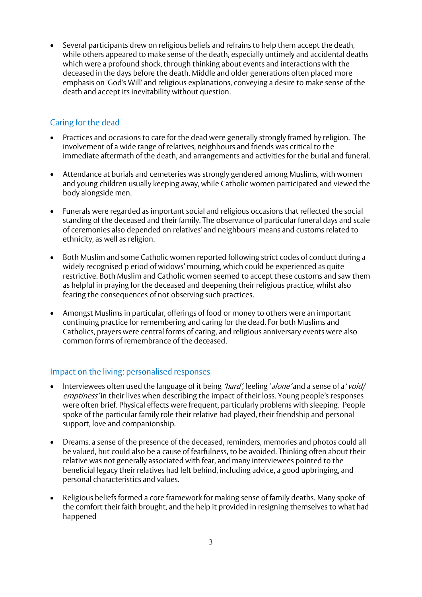Several participants drew on religious beliefs and refrains to help them accept the death, while others appeared to make sense of the death, especially untimely and accidental deaths which were a profound shock, through thinking about events and interactions with the deceased in the days before the death. Middle and older generations often placed more emphasis on 'God's Will' and religious explanations, conveying a desire to make sense of the death and accept its inevitability without question.

### Caring for the dead

- Practices and occasions to care for the dead were generally strongly framed by religion. The involvement of a wide range of relatives, neighbours and friends was critical to the immediate aftermath of the death, and arrangements and activities for the burial and funeral.
- Attendance at burials and cemeteries was strongly gendered among Muslims, with women and young children usually keeping away, while Catholic women participated and viewed the body alongside men.
- Funerals were regarded as important social and religious occasions that reflected the social standing of the deceased and their family. The observance of particular funeral days and scale of ceremonies also depended on relatives' and neighbours' means and customs related to ethnicity, as well as religion.
- Both Muslim and some Catholic women reported following strict codes of conduct during a widely recognised p eriod of widows' mourning, which could be experienced as quite restrictive. Both Muslim and Catholic women seemed to accept these customs and saw them as helpful in praying for the deceased and deepening their religious practice, whilst also fearing the consequences of not observing such practices.
- Amongst Muslims in particular, offerings of food or money to others were an important continuing practice for remembering and caring for the dead. For both Muslims and Catholics, prayers were central forms of caring, and religious anniversary events were also common forms of remembrance of the deceased.

### Impact on the living: personalised responses

- Interviewees often used the language of it being  $\hat{\theta}$  and "alone' and a sense of a 'void  $\theta$ emptiness' in their lives when describing the impact of their loss. Young people's responses were often brief. Physical effects were frequent, particularly problems with sleeping. People spoke of the particular family role their relative had played, their friendship and personal support, love and companionship.
- Dreams, a sense of the presence of the deceased, reminders, memories and photos could all be valued, but could also be a cause of fearfulness, to be avoided. Thinking often about their relative was not generally associated with fear, and many interviewees pointed to the beneficial legacy their relatives had left behind, including advice, a good upbringing, and personal characteristics and values.
- Religious beliefs formed a core framework for making sense of family deaths. Many spoke of the comfort their faith brought, and the help it provided in resigning themselves to what had happened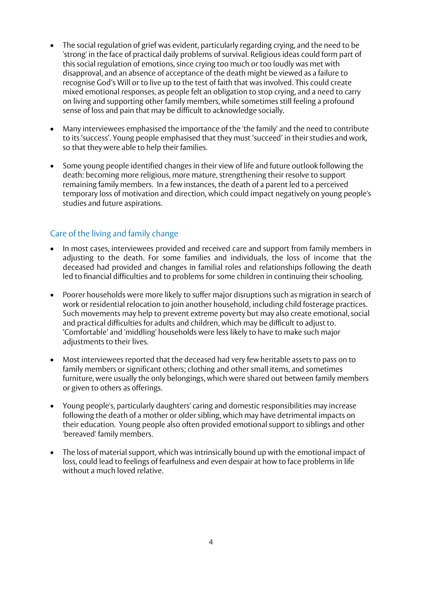- The social regulation of grief was evident, particularly regarding crying, and the need to be 'strong' in the face of practical daily problems of survival. Religious ideas could form part of this social regulation of emotions, since crying too much or too loudly was met with disapproval, and an absence of acceptance of the death might be viewed as a failure to recognise God's Will or to live up to the test of faith that was involved. This could create mixed emotional responses, as people felt an obligation to stop crying, and a need to carry on living and supporting other family members, while sometimes still feeling a profound sense of loss and pain that may be difficult to acknowledge socially.
- Many interviewees emphasised the importance of the 'the family' and the need to contribute to its 'success'. Young people emphasised that they must 'succeed' in their studies and work, so that they were able to help their families.
- Some young people identified changes in their view of life and future outlook following the death: becoming more religious, more mature, strengthening their resolve to support remaining family members. In a few instances, the death of a parent led to a perceived temporary loss of motivation and direction, which could impact negatively on young people's studies and future aspirations.

### Care of the living and family change

- In most cases, interviewees provided and received care and support from family members in adjusting to the death. For some families and individuals, the loss of income that the deceased had provided and changes in familial roles and relationships following the death led to financial difficulties and to problems for some children in continuing their schooling.
- Poorer households were more likely to suffer major disruptions such as migration in search of work or residential relocation to join another household, including child fosterage practices. Such movements may help to prevent extreme poverty but may also create emotional, social and practical difficulties for adults and children, which may be difficult to adjust to. 'Comfortable' and 'middling' households were less likely to have to make such major adiustments to their lives.
- Most interviewees reported that the deceased had very few heritable assets to pass on to family members or significant others; clothing and other small items, and sometimes furniture, were usually the only belongings, which were shared out between family members or given to others as offerings.
- Young people's, particularly daughters' caring and domestic responsibilities may increase following the death of a mother or older sibling, which may have detrimental impacts on their education. Young people also often provided emotional support to siblings and other 'bereaved' family members.
- The loss of material support, which was intrinsically bound up with the emotional impact of loss, could lead to feelings of fearfulness and even despair at how to face problems in life without a much loved relative.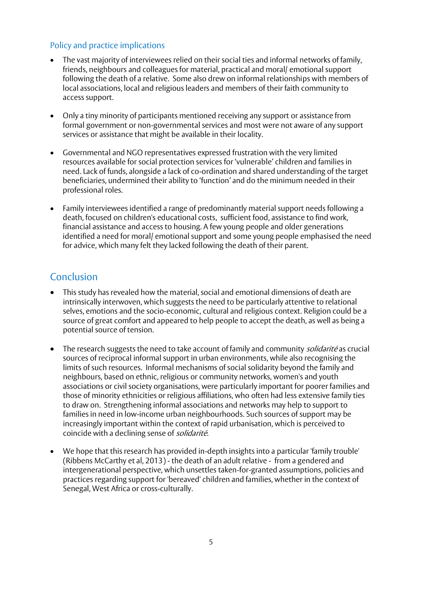### Policy and practice implications

- The vast majority of interviewees relied on their social ties and informal networks of family, friends, neighbours and colleagues for material, practical and moral/ emotional support following the death of a relative. Some also drew on informal relationships with members of local associations, local and religious leaders and members of their faith community to access support.
- Only a tiny minority of participants mentioned receiving any support or assistance from formal government or non-governmental services and most were not aware of any support services or assistance that might be available in their locality.
- Governmental and NGO representatives expressed frustration with the very limited resources available for social protection services for 'vulnerable' children and families in need. Lack of funds, alongside a lack of co-ordination and shared understanding of the target beneficiaries, undermined their ability to 'function' and do the minimum needed in their professional roles.
- Family interviewees identified a range of predominantly material support needs following a death, focused on children's educational costs, sufficient food, assistance to find work, financial assistance and access to housing. A few young people and older generations identified a need for moral/ emotional support and some young people emphasised the need for advice, which many felt they lacked following the death of their parent.

## Conclusion

- This study has revealed how the material, social and emotional dimensions of death are intrinsically interwoven, which suggests the need to be particularly attentive to relational selves, emotions and the socio-economic, cultural and religious context. Religion could be a source of great comfort and appeared to help people to accept the death, as well as being a potential source of tension.
- The research suggests the need to take account of family and community *solidarité* as crucial sources of reciprocal informal support in urban environments, while also recognising the limits of such resources. Informal mechanisms of social solidarity beyond the family and neighbours, based on ethnic, religious or community networks, women's and youth associations or civil society organisations, were particularly important for poorer families and those of minority ethnicities or religious affiliations, who often had less extensive family ties to draw on. Strengthening informal associations and networks may help to support to families in need in low-income urban neighbourhoods. Such sources of support may be increasingly important within the context of rapid urbanisation, which is perceived to coincide with a declining sense of solidarité.
- We hope that this research has provided in-depth insights into a particular 'family trouble' (Ribbens McCarthy et al, 2013) - the death of an adult relative - from a gendered and intergenerational perspective, which unsettles taken-for-granted assumptions, policies and practices regarding support for 'bereaved' children and families, whether in the context of Senegal, West Africa or cross-culturally.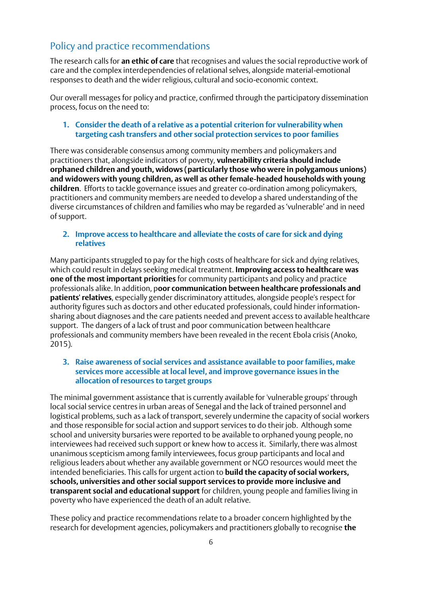## Policy and practice recommendations

The research calls for **an ethic of care** that recognises and values the social reproductive work of care and the complex interdependencies of relational selves, alongside material-emotional responses to death and the wider religious, cultural and socio-economic context.

Our overall messages for policy and practice, confirmed through the participatory dissemination process, focus on the need to:

#### **1. Consider the death of a relative as a potential criterion for vulnerability when targeting cash transfers and other social protection services to poor families**

There was considerable consensus among community members and policymakers and practitioners that, alongside indicators of poverty, **vulnerability criteria should include orphaned children and youth, widows (particularly those who were in polygamous unions) and widowers with young children, as well as other female-headed households with young children**. Efforts to tackle governance issues and greater co-ordination among policymakers, practitioners and community members are needed to develop a shared understanding of the diverse circumstances of children and families who may be regarded as 'vulnerable' and in need of support.

#### **2. Improve access to healthcare and alleviate the costs of care for sick and dying relatives**

Many participants struggled to pay for the high costs of healthcare for sick and dying relatives, which could result in delays seeking medical treatment. **Improving access to healthcare was one of the most important priorities** for community participants and policy and practice professionals alike. In addition, p**oor communication between healthcare professionals and patients' relatives**, especially gender discriminatory attitudes, alongside people's respect for authority figures such as doctors and other educated professionals, could hinder informationsharing about diagnoses and the care patients needed and prevent access to available healthcare support. The dangers of a lack of trust and poor communication between healthcare professionals and community members have been revealed in the recent Ebola crisis (Anoko, 2015).

#### **3. Raise awareness of social services and assistance available to poor families, make services more accessible at local level, and improve governance issues in the allocation of resources to target groups**

The minimal government assistance that is currently available for 'vulnerable groups' through local social service centres in urban areas of Senegal and the lack of trained personnel and logistical problems, such as a lack of transport, severely undermine the capacity of social workers and those responsible for social action and support services to do their job. Although some school and university bursaries were reported to be available to orphaned young people, no interviewees had received such support or knew how to access it. Similarly, there was almost unanimous scepticism among family interviewees, focus group participants and local and religious leaders about whether any available government or NGO resources would meet the intended beneficiaries. This calls for urgent action to **build the capacity of social workers, schools, universities and other social support services to provide more inclusive and transparent social and educational support** for children, young people and families living in poverty who have experienced the death of an adult relative.

These policy and practice recommendations relate to a broader concern highlighted by the research for development agencies, policymakers and practitioners globally to recognise **the**